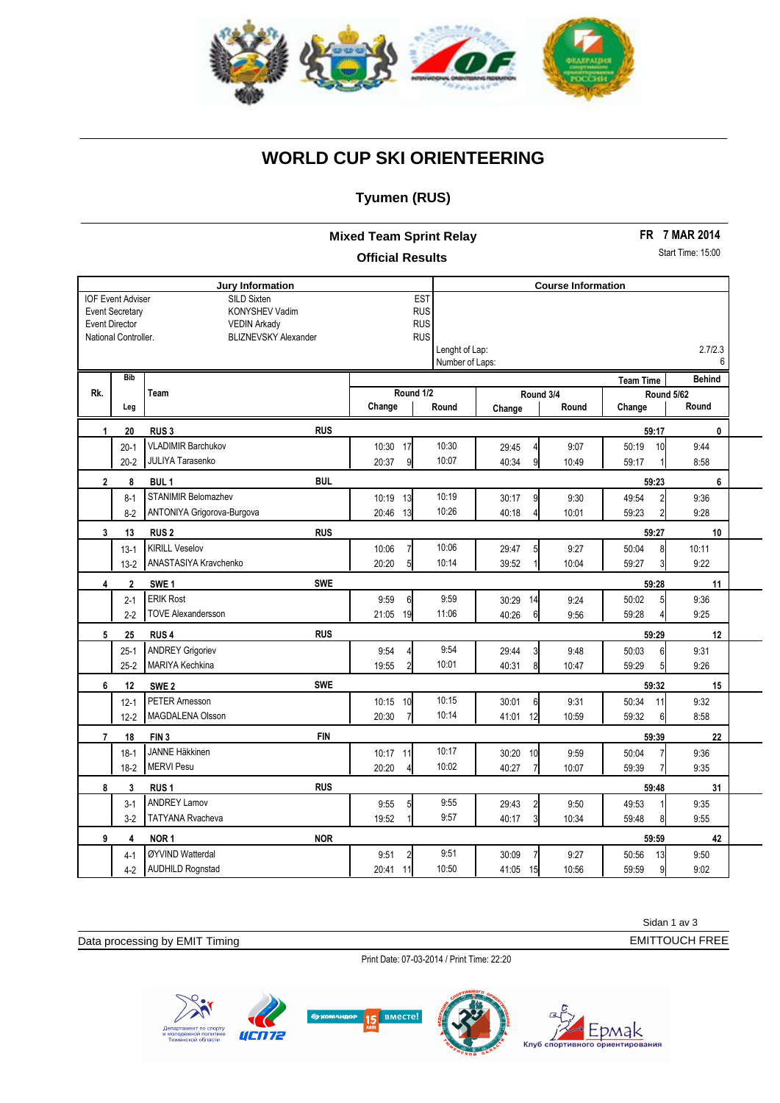

## **WORLD CUP SKI ORIENTEERING**

## **Tyumen (RUS)**

**Mixed Team Sprint Relay Official Results**

**FR 7 MAR 2014**

Start Time: 15:00

| <b>Jury Information</b>                                                                                                                                                                    |             |                                |                                                                        | <b>Course Information</b> |                           |       |                                |               |  |
|--------------------------------------------------------------------------------------------------------------------------------------------------------------------------------------------|-------------|--------------------------------|------------------------------------------------------------------------|---------------------------|---------------------------|-------|--------------------------------|---------------|--|
| <b>IOF Event Adviser</b><br>SILD Sixten<br><b>Event Secretary</b><br>KONYSHEV Vadim<br><b>Event Director</b><br><b>VEDIN Arkady</b><br>National Controller.<br><b>BLIZNEVSKY Alexander</b> |             |                                | <b>EST</b><br><b>RUS</b><br><b>RUS</b><br><b>RUS</b><br>Lenght of Lap: |                           |                           |       | 2.7/2.3                        |               |  |
|                                                                                                                                                                                            | <b>Bib</b>  |                                |                                                                        | Number of Laps:           |                           |       |                                | 6             |  |
| Rk.                                                                                                                                                                                        |             | Team                           | Round 1/2                                                              |                           | Round 3/4                 |       | <b>Team Time</b><br>Round 5/62 | <b>Behind</b> |  |
|                                                                                                                                                                                            | Leg         |                                | Change                                                                 | Round                     | Change                    | Round | Change                         | Round         |  |
| $\mathbf{1}$                                                                                                                                                                               | 20          | <b>RUS</b><br>RUS <sub>3</sub> |                                                                        |                           |                           |       | 59:17                          | $\mathbf{0}$  |  |
|                                                                                                                                                                                            | $20 - 1$    | <b>VLADIMIR Barchukov</b>      | 10:30 17                                                               | 10:30                     | 29:45<br>$\overline{4}$   | 9:07  | 50:19<br>10                    | 9:44          |  |
|                                                                                                                                                                                            | $20 - 2$    | <b>JULIYA Tarasenko</b>        | 20:37<br>$\overline{9}$                                                | 10:07                     | 40:34<br>9                | 10:49 | 59:17                          | 8:58          |  |
| $\overline{2}$                                                                                                                                                                             | 8           | <b>BUL</b><br>BUL <sub>1</sub> |                                                                        |                           |                           |       | 59:23                          | 6             |  |
|                                                                                                                                                                                            | $8 - 1$     | STANIMIR Belomazhev            | 10:19<br>13                                                            | 10:19                     | 30:17<br>9                | 9:30  | 49:54<br>$\overline{2}$        | 9:36          |  |
|                                                                                                                                                                                            | $8 - 2$     | ANTONIYA Grigorova-Burgova     | 20:46<br>13                                                            | 10:26                     | 40:18<br>4                | 10:01 | 59:23<br>$\overline{2}$        | 9:28          |  |
| $\mathbf{3}$                                                                                                                                                                               | 13          | <b>RUS</b><br><b>RUS2</b>      |                                                                        |                           |                           |       | 59:27                          | 10            |  |
|                                                                                                                                                                                            | $13-1$      | <b>KIRILL Veselov</b>          | 10:06                                                                  | 10:06                     | 29:47<br>5                | 9:27  | 50:04<br>8                     | 10:11         |  |
|                                                                                                                                                                                            | $13-2$      | ANASTASIYA Kravchenko          | 5 <sup>1</sup><br>20:20                                                | 10:14                     | 39:52                     | 10:04 | 3<br>59:27                     | 9:22          |  |
| $\overline{\mathbf{4}}$                                                                                                                                                                    | $\mathbf 2$ | <b>SWE</b><br>SWE <sub>1</sub> |                                                                        |                           |                           |       | 59:28                          | 11            |  |
|                                                                                                                                                                                            | $2 - 1$     | <b>ERIK Rost</b>               | 9:59<br>$6 \,$                                                         | 9:59                      | 30:29<br>14               | 9:24  | 50:02<br>5                     | 9:36          |  |
|                                                                                                                                                                                            | $2 - 2$     | <b>TOVE Alexandersson</b>      | 21:05<br>19                                                            | 11:06                     | 6<br>40:26                | 9:56  | 59:28                          | 9:25          |  |
| 5                                                                                                                                                                                          | 25          | <b>RUS</b><br>RUS <sub>4</sub> |                                                                        |                           |                           |       | 59:29                          | 12            |  |
|                                                                                                                                                                                            | $25-1$      | <b>ANDREY Grigoriev</b>        | 9:54                                                                   | 9:54                      | 29:44<br>3                | 9:48  | 50:03<br>6                     | 9:31          |  |
|                                                                                                                                                                                            | $25 - 2$    | MARIYA Kechkina                | 19:55                                                                  | 10:01                     | 40:31<br>8                | 10:47 | 59:29<br>5 <sup>1</sup>        | 9:26          |  |
| 6                                                                                                                                                                                          | 12          | <b>SWE</b><br>SWE <sub>2</sub> |                                                                        |                           |                           |       | 59:32                          | 15            |  |
|                                                                                                                                                                                            | $12 - 1$    | <b>PETER Amesson</b>           | 10:15<br>10                                                            | 10:15                     | 30:01<br>$6 \overline{6}$ | 9:31  | 50:34<br>11                    | 9:32          |  |
|                                                                                                                                                                                            | $12 - 2$    | MAGDALENA Olsson               | 20:30                                                                  | 10:14                     | 41:01<br>12               | 10:59 | 59:32<br>6                     | 8:58          |  |
| $\overline{7}$                                                                                                                                                                             | 18          | <b>FIN</b><br>FIN <sub>3</sub> |                                                                        |                           |                           |       | 59:39                          | 22            |  |
|                                                                                                                                                                                            | $18-1$      | <b>JANNE Häkkinen</b>          | 10:17<br>11                                                            | 10:17                     | 30:20<br>10               | 9:59  | 50:04                          | 9:36          |  |
|                                                                                                                                                                                            | $18-2$      | <b>MERVI Pesu</b>              | 20:20                                                                  | 10:02                     | 40:27<br>$\overline{7}$   | 10:07 | 59:39                          | 9:35          |  |
| 8                                                                                                                                                                                          | 3           | <b>RUS</b><br>RUS <sub>1</sub> |                                                                        |                           |                           |       | 59:48                          | 31            |  |
|                                                                                                                                                                                            | $3-1$       | <b>ANDREY Lamov</b>            | 9:55<br>5                                                              | 9:55                      | $\overline{2}$<br>29:43   | 9:50  | 49:53                          | 9:35          |  |
|                                                                                                                                                                                            | $3-2$       | <b>TATYANA Rvacheva</b>        | 19:52                                                                  | 9:57                      | $\overline{3}$<br>40:17   | 10:34 | 59:48<br>8                     | 9:55          |  |
| 9                                                                                                                                                                                          | 4           | <b>NOR</b><br>NOR <sub>1</sub> |                                                                        |                           |                           |       | 59:59                          | 42            |  |
|                                                                                                                                                                                            | $4-1$       | ØYVIND Watterdal               | 9:51<br>$\overline{2}$                                                 | 9:51                      | 30:09<br>$\overline{7}$   | 9:27  | 50:56<br>13                    | 9:50          |  |
|                                                                                                                                                                                            | $4-2$       | <b>AUDHILD Rognstad</b>        | 20:41<br>11                                                            | 10:50                     | 15<br>41:05               | 10:56 | 59:59<br>9                     | 9:02          |  |

Data processing by EMIT Timing

Print Date: 07-03-2014 / Print Time: 22:20

**RMACTAL** 





Sidan 1 av 3

EMITTOUCH FREE

Timing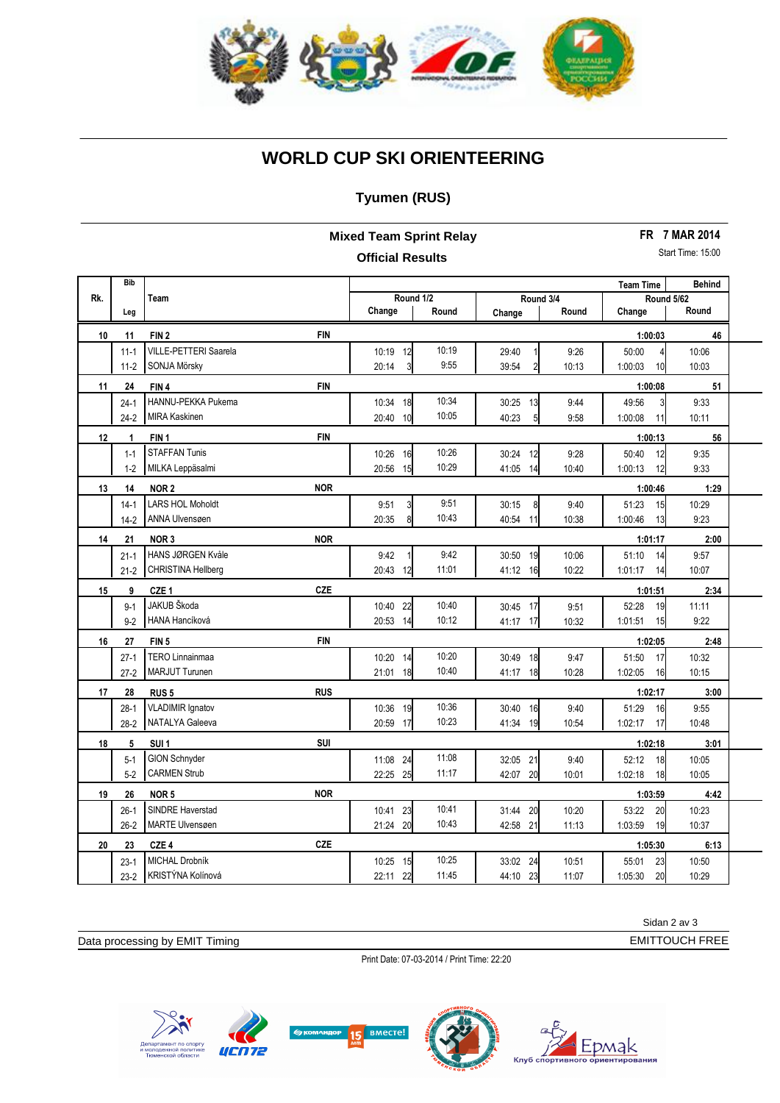

## **WORLD CUP SKI ORIENTEERING**

### **Tyumen (RUS)**

**Mixed Team Sprint Relay Official Results**

**FR 7 MAR 2014**

Start Time: 15:00

|     | <b>Bib</b> |                                |             |                        |                         |       | <b>Team Time</b>           | <b>Behind</b> |  |
|-----|------------|--------------------------------|-------------|------------------------|-------------------------|-------|----------------------------|---------------|--|
| Rk. |            | Team                           | Round 1/2   |                        | Round 3/4               |       | Round 5/62                 |               |  |
|     | Leg        |                                | Change      | Round                  | Change                  | Round | Change                     | Round         |  |
| 10  | 11         | <b>FIN</b><br>FIN <sub>2</sub> |             |                        |                         |       | 1:00:03                    | 46            |  |
|     | $11 - 1$   | <b>VILLE-PETTERI Saarela</b>   | 10:19 12    | 10:19                  | 29:40                   | 9:26  | 50:00<br>4                 | 10:06         |  |
|     | $11-2$     | SONJA Mörsky                   | 20:14       | 9:55<br>3              | 39:54<br>$\overline{2}$ | 10:13 | 1:00:03<br>10 <sup>1</sup> | 10:03         |  |
| 11  | 24         | <b>FIN</b><br>FIN4             |             |                        |                         |       | 1:00:08                    | 51            |  |
|     | $24-1$     | HANNU-PEKKA Pukema             | 10:34 18    | 10:34                  | 30:25 13                | 9:44  | 49:56<br>3                 | 9:33          |  |
|     | $24-2$     | <b>MIRA Kaskinen</b>           | 20:40 10    | 10:05                  | 40:23<br>5 <sup>1</sup> | 9:58  | 1:00:08<br>11              | 10:11         |  |
| 12  | 1          | <b>FIN</b><br>FIN <sub>1</sub> |             |                        |                         |       | 1:00:13                    | 56            |  |
|     | $1 - 1$    | <b>STAFFAN Tunis</b>           | 10:26 16    | 10:26                  | 30:24<br>12             | 9:28  | 50:40<br>12                | 9:35          |  |
|     | $1 - 2$    | MILKA Leppäsalmi               | 15<br>20:56 | 10:29                  | 41:05<br>14             | 10:40 | 12<br>1:00:13              | 9:33          |  |
| 13  | 14         | <b>NOR</b><br>NOR <sub>2</sub> |             |                        |                         |       | 1:00:46                    | 1:29          |  |
|     | $14-1$     | <b>LARS HOL Moholdt</b>        | 9:51        | 9:51<br>$\overline{3}$ | 30:15<br>8              | 9:40  | 51:23<br>15                | 10:29         |  |
|     | $14-2$     | ANNA Ulvensøen                 | 20:35       | 10:43<br>8             | 40:54<br>11             | 10:38 | 1:00:46<br>13              | 9:23          |  |
| 14  | 21         | <b>NOR</b><br>NOR <sub>3</sub> |             |                        |                         |       | 1:01:17                    | 2:00          |  |
|     | $21 - 1$   | HANS JØRGEN Kvåle              | 9:42        | 9:42                   | 30:50<br>19             | 10:06 | 51:10<br>14                | 9:57          |  |
|     | $21 - 2$   | CHRISTINA Hellberg             | 20:43<br>12 | 11:01                  | 41:12<br>16             | 10:22 | 1:01:17<br>14              | 10:07         |  |
| 15  | 9          | <b>CZE</b><br>CZE <sub>1</sub> |             |                        |                         |       | 1:01:51                    | 2:34          |  |
|     | $9 - 1$    | JAKUB Škoda                    | 10:40<br>22 | 10:40                  | 30:45 17                | 9:51  | 52:28<br>19                | 11:11         |  |
|     | $9 - 2$    | HANA Hancíková                 | 20:53 14    | 10:12                  | 41:17 17                | 10:32 | 1:01:51<br>15              | 9:22          |  |
| 16  | 27         | <b>FIN</b><br>FIN <sub>5</sub> |             |                        |                         |       | 1:02:05                    | 2:48          |  |
|     | $27-1$     | <b>TERO Linnainmaa</b>         | 14<br>10:20 | 10:20                  | 30:49<br>18             | 9:47  | 51:50<br>17                | 10:32         |  |
|     | $27-2$     | <b>MARJUT Turunen</b>          | 21:01<br>18 | 10:40                  | 41:17 18                | 10:28 | 1:02:05<br>16              | 10:15         |  |
| 17  | 28         | <b>RUS</b><br>RUS <sub>5</sub> |             |                        |                         |       | 1:02:17                    | 3:00          |  |
|     | $28-1$     | <b>VLADIMIR Ignatov</b>        | 10:36 19    | 10:36                  | 30:40<br>16             | 9:40  | 51:29<br>16                | 9:55          |  |
|     | $28-2$     | NATALYA Galeeva                | 20:59<br>17 | 10:23                  | 41:34<br>19             | 10:54 | 1:02:17<br>17              | 10:48         |  |
| 18  | 5          | <b>SUI</b><br>SUI <sub>1</sub> |             |                        |                         |       | 1:02:18                    | 3:01          |  |
|     | $5-1$      | <b>GION Schnyder</b>           | 11:08 24    | 11:08                  | 32:05 21                | 9:40  | 52:12<br>18                | 10:05         |  |
|     | $5 - 2$    | <b>CARMEN Strub</b>            | 22:25 25    | 11:17                  | 42:07 20                | 10:01 | 1:02:18<br>18              | 10:05         |  |
| 19  | 26         | <b>NOR</b><br>NOR <sub>5</sub> |             |                        |                         |       | 1:03:59                    | 4:42          |  |
|     | $26-1$     | <b>SINDRE Haverstad</b>        | 10:41 23    | 10:41                  | 31:44<br>20             | 10:20 | 20<br>53:22                | 10:23         |  |
|     | $26 - 2$   | MARTE Ulvensøen                | 21:24 20    | 10:43                  | 42:58<br>21             | 11:13 | 19<br>1:03:59              | 10:37         |  |
| 20  | 23         | <b>CZE</b><br>CZE <sub>4</sub> |             |                        |                         |       | 1:05:30                    | 6:13          |  |
|     | $23-1$     | MICHAL Drobník                 | 10:25 15    | 10:25                  | 33:02 24                | 10:51 | 23<br>55:01                | 10:50         |  |
|     | $23-2$     | KRISTÝNA Kolínová              | 22:11<br>22 | 11:45                  | 23<br>44:10             | 11:07 | 20<br>1:05:30              | 10:29         |  |

Data processing by EMIT Timing

Print Date: 07-03-2014 / Print Time: 22:20







Sidan 2 av 3

EMITTOUCH FREE

Timing